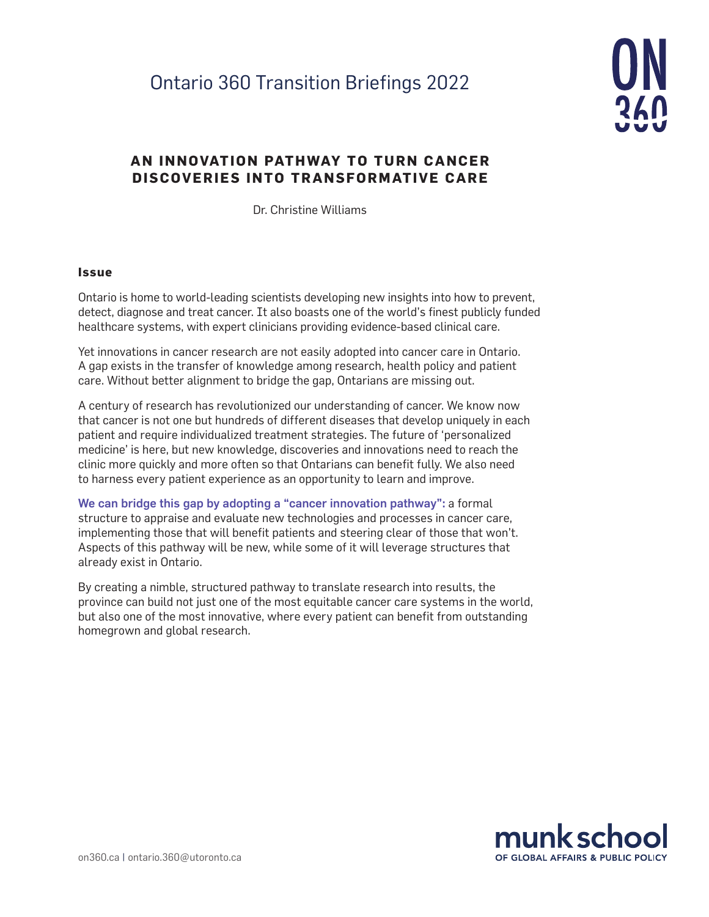# Ontario 360 Transition Briefings 2022



# **AN INNOVATION PATHWAY TO TURN CANCER DISCOVERIES INTO TRANSFORMATIVE CARE**

Dr. Christine Williams

#### **Issue**

Ontario is home to world-leading scientists developing new insights into how to prevent, detect, diagnose and treat cancer. It also boasts one of the world's finest publicly funded healthcare systems, with expert clinicians providing evidence-based clinical care.

Yet innovations in cancer research are not easily adopted into cancer care in Ontario. A gap exists in the transfer of knowledge among research, health policy and patient care. Without better alignment to bridge the gap, Ontarians are missing out.

A century of research has revolutionized our understanding of cancer. We know now that cancer is not one but hundreds of different diseases that develop uniquely in each patient and require individualized treatment strategies. The future of 'personalized medicine' is here, but new knowledge, discoveries and innovations need to reach the clinic more quickly and more often so that Ontarians can benefit fully. We also need to harness every patient experience as an opportunity to learn and improve.

We can bridge this gap by adopting a "cancer innovation pathway": a formal structure to appraise and evaluate new technologies and processes in cancer care, implementing those that will benefit patients and steering clear of those that won't. Aspects of this pathway will be new, while some of it will leverage structures that already exist in Ontario.

By creating a nimble, structured pathway to translate research into results, the province can build not just one of the most equitable cancer care systems in the world, but also one of the most innovative, where every patient can benefit from outstanding homegrown and global research.

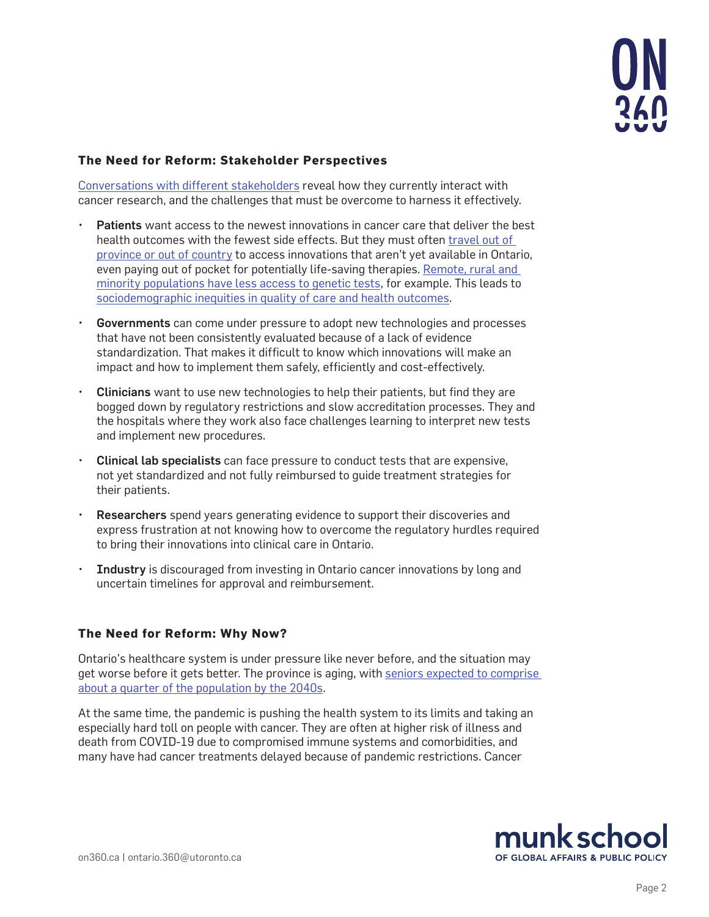

## **The Need for Reform: Stakeholder Perspectives**

[Conversations with different stakeholders](https://oicr.on.ca/wp-content/uploads/2020/02/OPTICC-Workshop-Document-vrfs.pdf) reveal how they currently interact with cancer research, and the challenges that must be overcome to harness it effectively.

- Patients want access to the newest innovations in cancer care that deliver the best health outcomes with the fewest side effects. But they must often [travel out of](https://www.fraserinstitute.org/studies/leaving-canada-for-medical-care-2017)  [province or out of country](https://www.fraserinstitute.org/studies/leaving-canada-for-medical-care-2017) to access innovations that aren't yet available in Ontario, even paying out of pocket for potentially life-saving therapies. [Remote, rural and](https://pubmed.ncbi.nlm.nih.gov/32932427/)  [minority populations have less access to genetic tests,](https://pubmed.ncbi.nlm.nih.gov/32932427/) for example. This leads to [sociodemographic inequities in quality of care and health outcomes](https://pubmed.ncbi.nlm.nih.gov/31940148/).
- Governments can come under pressure to adopt new technologies and processes that have not been consistently evaluated because of a lack of evidence standardization. That makes it difficult to know which innovations will make an impact and how to implement them safely, efficiently and cost-effectively.
- Clinicians want to use new technologies to help their patients, but find they are bogged down by regulatory restrictions and slow accreditation processes. They and the hospitals where they work also face challenges learning to interpret new tests and implement new procedures.
- Clinical lab specialists can face pressure to conduct tests that are expensive, not yet standardized and not fully reimbursed to guide treatment strategies for their patients.
- Researchers spend years generating evidence to support their discoveries and express frustration at not knowing how to overcome the regulatory hurdles required to bring their innovations into clinical care in Ontario.
- Industry is discouraged from investing in Ontario cancer innovations by long and uncertain timelines for approval and reimbursement.

#### **The Need for Reform: Why Now?**

Ontario's healthcare system is under pressure like never before, and the situation may get worse before it gets better. The province is aging, with [seniors expected to comprise](https://www.canada.ca/en/public-health/services/publications/diseases-conditions/aging-chronic-diseases-profile-canadian-seniors-report.html)  [about a quarter of the population by the 2040s.](https://www.canada.ca/en/public-health/services/publications/diseases-conditions/aging-chronic-diseases-profile-canadian-seniors-report.html)

At the same time, the pandemic is pushing the health system to its limits and taking an especially hard toll on people with cancer. They are often at higher risk of illness and death from COVID-19 due to compromised immune systems and comorbidities, and many have had cancer treatments delayed because of pandemic restrictions. Cancer

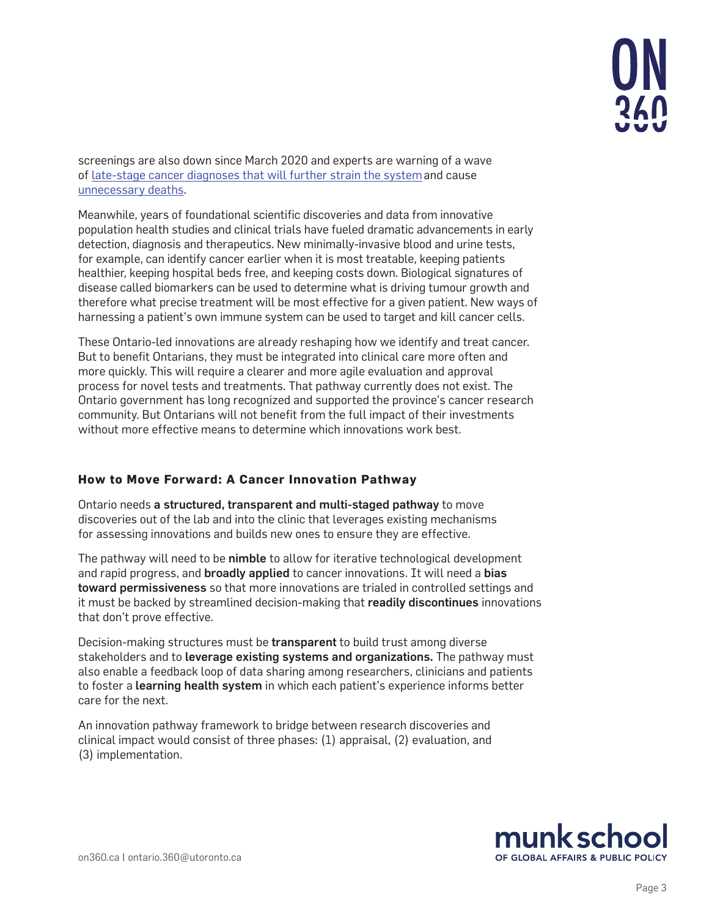screenings are also down since March 2020 and experts are warning of a wave of [late-stage cancer diagnoses that will further strain the system](https://www.cmaj.ca/content/193/22/E811)and cause [unnecessary deaths.](https://www.bmj.com/content/371/bmj.m4087)

Meanwhile, years of foundational scientific discoveries and data from innovative population health studies and clinical trials have fueled dramatic advancements in early detection, diagnosis and therapeutics. New minimally-invasive blood and urine tests, for example, can identify cancer earlier when it is most treatable, keeping patients healthier, keeping hospital beds free, and keeping costs down. Biological signatures of disease called biomarkers can be used to determine what is driving tumour growth and therefore what precise treatment will be most effective for a given patient. New ways of harnessing a patient's own immune system can be used to target and kill cancer cells.

These Ontario-led innovations are already reshaping how we identify and treat cancer. But to benefit Ontarians, they must be integrated into clinical care more often and more quickly. This will require a clearer and more agile evaluation and approval process for novel tests and treatments. That pathway currently does not exist. The Ontario government has long recognized and supported the province's cancer research community. But Ontarians will not benefit from the full impact of their investments without more effective means to determine which innovations work best.

# **How to Move Forward: A Cancer Innovation Pathway**

Ontario needs a structured, transparent and multi-staged pathway to move discoveries out of the lab and into the clinic that leverages existing mechanisms for assessing innovations and builds new ones to ensure they are effective.

The pathway will need to be nimble to allow for iterative technological development and rapid progress, and broadly applied to cancer innovations. It will need a bias toward permissiveness so that more innovations are trialed in controlled settings and it must be backed by streamlined decision-making that readily discontinues innovations that don't prove effective.

Decision-making structures must be transparent to build trust among diverse stakeholders and to leverage existing systems and organizations. The pathway must also enable a feedback loop of data sharing among researchers, clinicians and patients to foster a learning health system in which each patient's experience informs better care for the next.

An innovation pathway framework to bridge between research discoveries and clinical impact would consist of three phases: (1) appraisal, (2) evaluation, and (3) implementation.

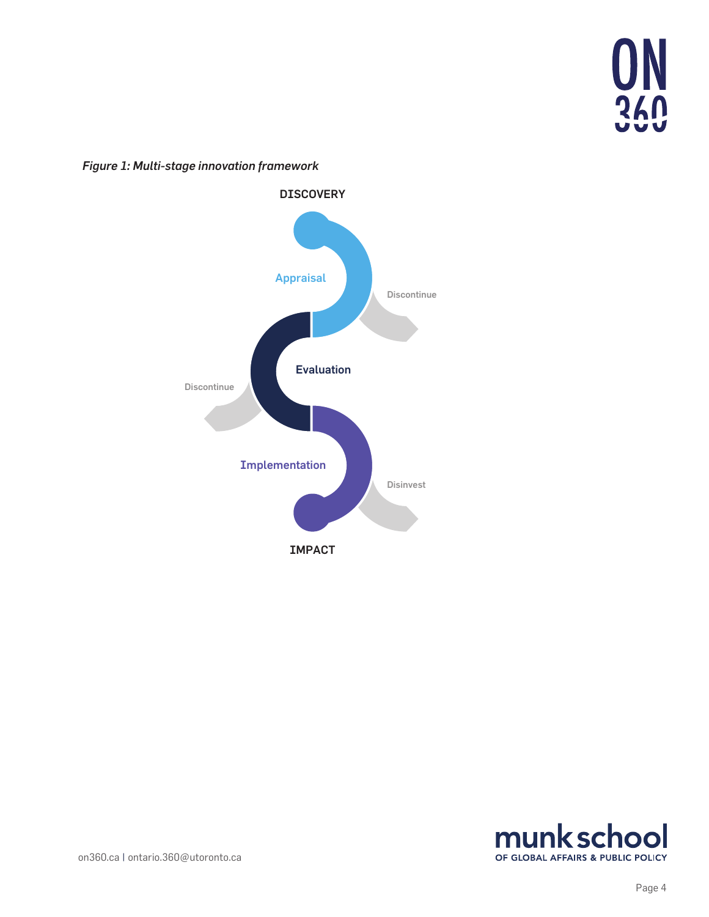

*Figure 1: Multi-stage innovation framework*





[on360.ca](https://on360.ca/) | ontario.360@utoronto.ca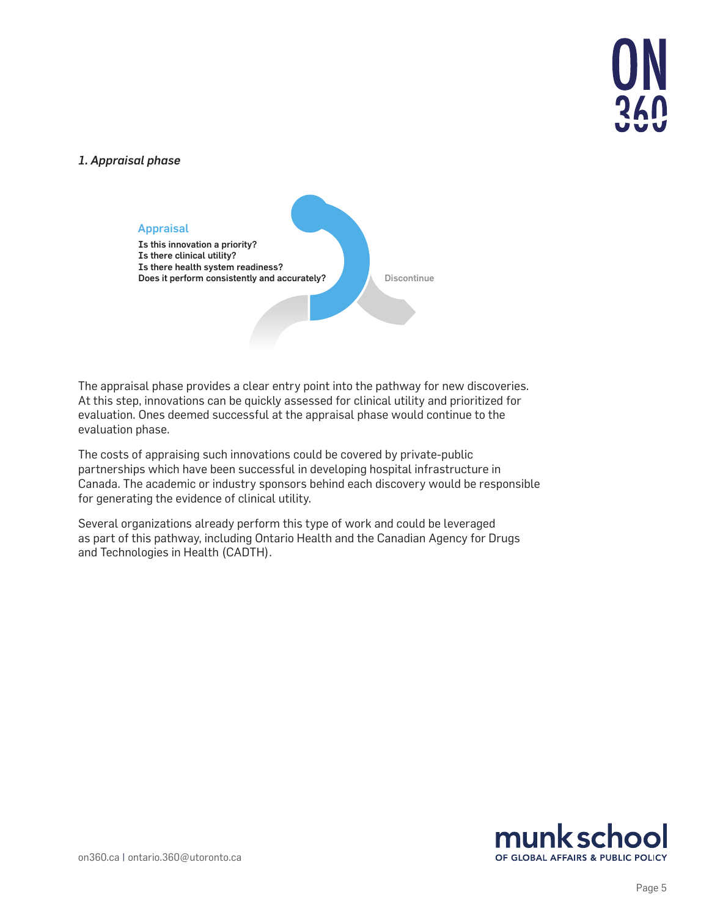

#### *1. Appraisal phase*



The appraisal phase provides a clear entry point into the pathway for new discoveries. At this step, innovations can be quickly assessed for clinical utility and prioritized for evaluation. Ones deemed successful at the appraisal phase would continue to the evaluation phase.

The costs of appraising such innovations could be covered by private-public partnerships which have been successful in developing hospital infrastructure in Canada. The academic or industry sponsors behind each discovery would be responsible for generating the evidence of clinical utility.

Several organizations already perform this type of work and could be leveraged as part of this pathway, including Ontario Health and the Canadian Agency for Drugs and Technologies in Health (CADTH).

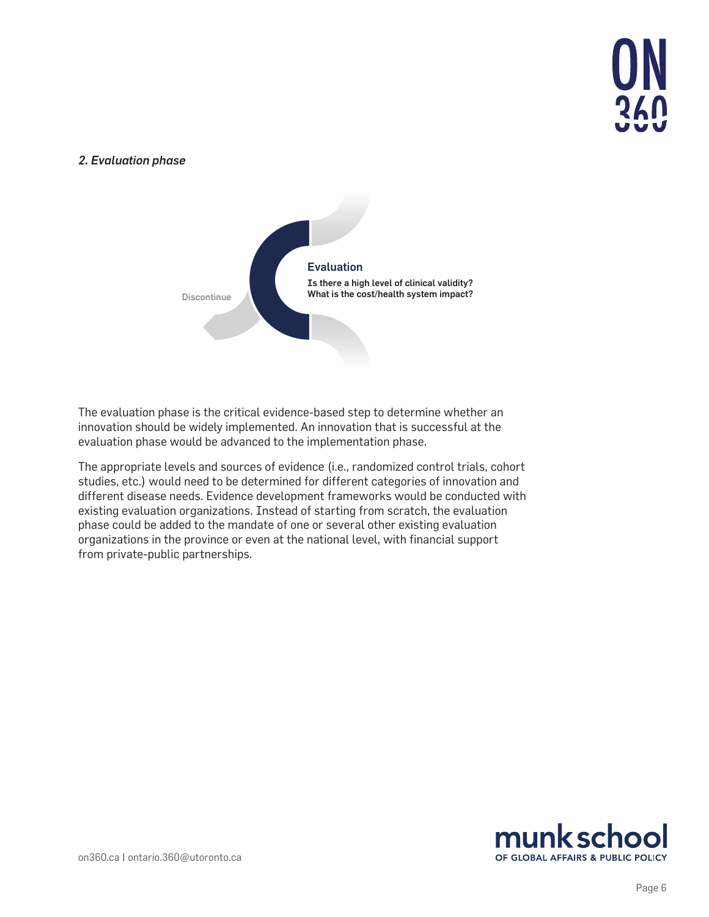

#### *2. Evaluation phase*



The evaluation phase is the critical evidence-based step to determine whether an innovation should be widely implemented. An innovation that is successful at the evaluation phase would be advanced to the implementation phase.

The appropriate levels and sources of evidence (i.e., randomized control trials, cohort studies, etc.) would need to be determined for different categories of innovation and different disease needs. Evidence development frameworks would be conducted with existing evaluation organizations. Instead of starting from scratch, the evaluation phase could be added to the mandate of one or several other existing evaluation organizations in the province or even at the national level, with financial support from private-public partnerships.

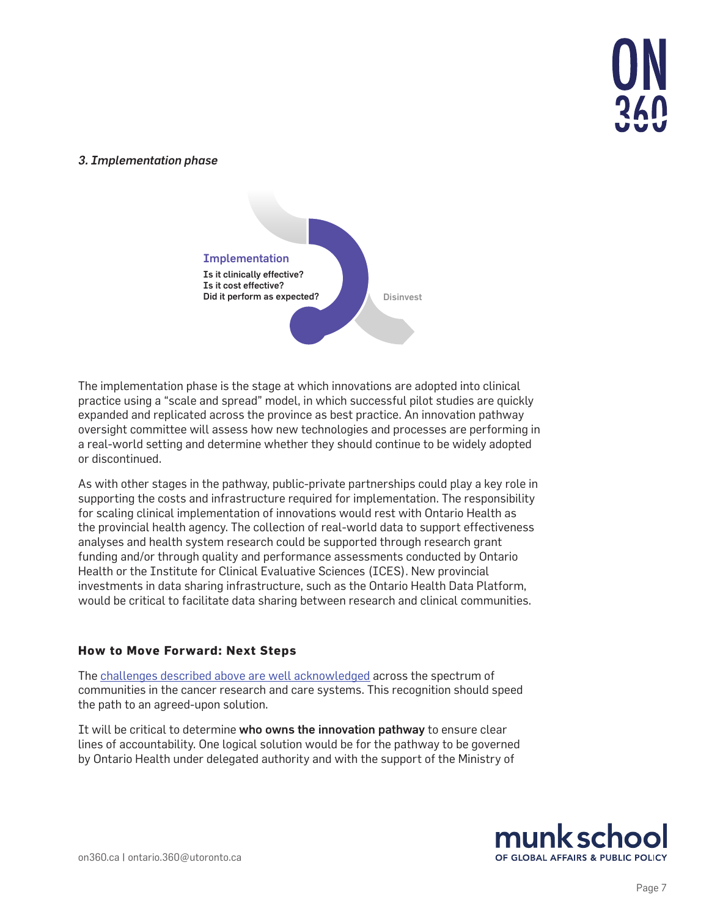

#### *3. Implementation phase*



The implementation phase is the stage at which innovations are adopted into clinical practice using a "scale and spread" model, in which successful pilot studies are quickly expanded and replicated across the province as best practice. An innovation pathway oversight committee will assess how new technologies and processes are performing in a real-world setting and determine whether they should continue to be widely adopted or discontinued.

As with other stages in the pathway, public-private partnerships could play a key role in supporting the costs and infrastructure required for implementation. The responsibility for scaling clinical implementation of innovations would rest with Ontario Health as the provincial health agency. The collection of real-world data to support effectiveness analyses and health system research could be supported through research grant funding and/or through quality and performance assessments conducted by Ontario Health or the Institute for Clinical Evaluative Sciences (ICES). New provincial investments in data sharing infrastructure, such as the Ontario Health Data Platform, would be critical to facilitate data sharing between research and clinical communities.

#### **How to Move Forward: Next Steps**

The [challenges described above are well acknowledged](https://oicr.on.ca/wp-content/uploads/2020/02/OPTICC-Workshop-Document-vrfs.pdf) across the spectrum of communities in the cancer research and care systems. This recognition should speed the path to an agreed-upon solution.

It will be critical to determine who owns the innovation pathway to ensure clear lines of accountability. One logical solution would be for the pathway to be governed by Ontario Health under delegated authority and with the support of the Ministry of

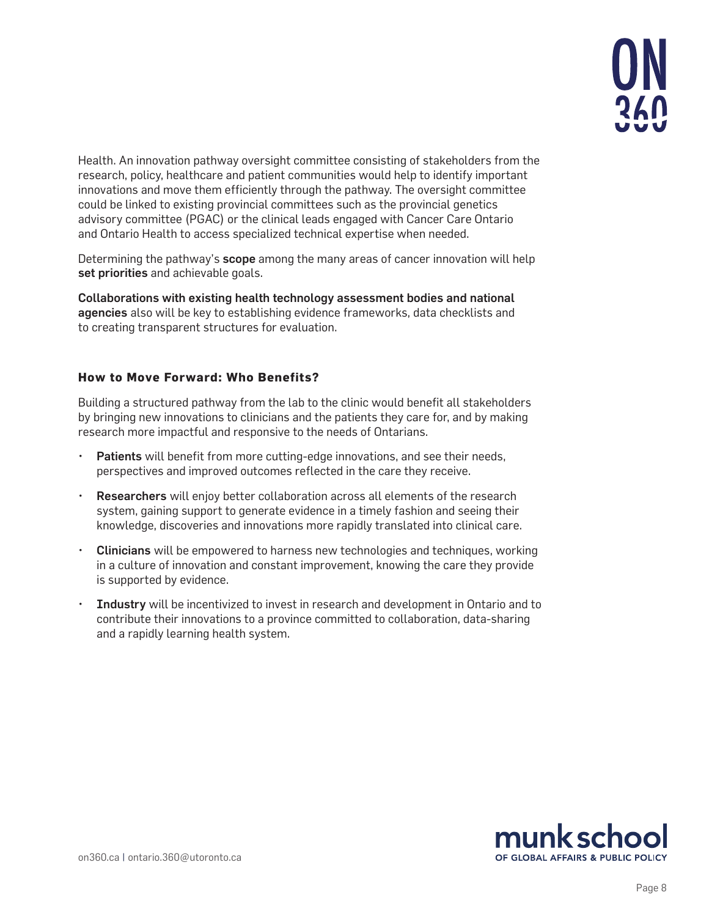

Health. An innovation pathway oversight committee consisting of stakeholders from the research, policy, healthcare and patient communities would help to identify important innovations and move them efficiently through the pathway. The oversight committee could be linked to existing provincial committees such as the provincial genetics advisory committee (PGAC) or the clinical leads engaged with Cancer Care Ontario and Ontario Health to access specialized technical expertise when needed.

Determining the pathway's **scope** among the many areas of cancer innovation will help set priorities and achievable goals.

Collaborations with existing health technology assessment bodies and national agencies also will be key to establishing evidence frameworks, data checklists and to creating transparent structures for evaluation.

#### **How to Move Forward: Who Benefits?**

Building a structured pathway from the lab to the clinic would benefit all stakeholders by bringing new innovations to clinicians and the patients they care for, and by making research more impactful and responsive to the needs of Ontarians.

- Patients will benefit from more cutting-edge innovations, and see their needs, perspectives and improved outcomes reflected in the care they receive.
- Researchers will enjoy better collaboration across all elements of the research system, gaining support to generate evidence in a timely fashion and seeing their knowledge, discoveries and innovations more rapidly translated into clinical care.
- Clinicians will be empowered to harness new technologies and techniques, working in a culture of innovation and constant improvement, knowing the care they provide is supported by evidence.
- **Industry** will be incentivized to invest in research and development in Ontario and to contribute their innovations to a province committed to collaboration, data-sharing and a rapidly learning health system.